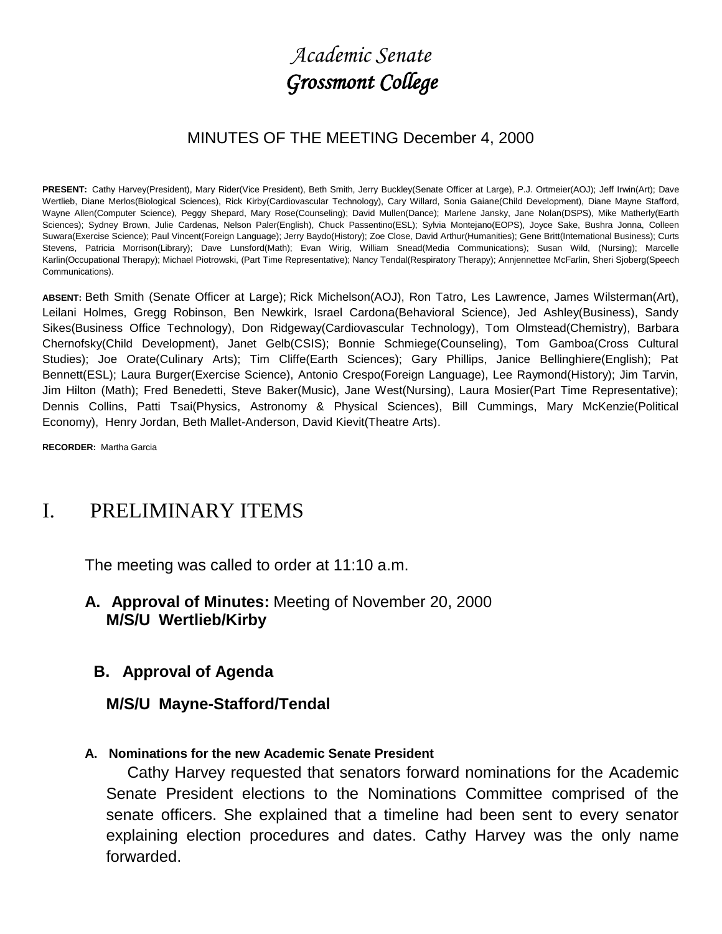# *Academic Senate Grossmont College*

### MINUTES OF THE MEETING December 4, 2000

**PRESENT:** Cathy Harvey(President), Mary Rider(Vice President), Beth Smith, Jerry Buckley(Senate Officer at Large), P.J. Ortmeier(AOJ); Jeff Irwin(Art); Dave Wertlieb, Diane Merlos(Biological Sciences), Rick Kirby(Cardiovascular Technology), Cary Willard, Sonia Gaiane(Child Development), Diane Mayne Stafford, Wayne Allen(Computer Science), Peggy Shepard, Mary Rose(Counseling); David Mullen(Dance); Marlene Jansky, Jane Nolan(DSPS), Mike Matherly(Earth Sciences); Sydney Brown, Julie Cardenas, Nelson Paler(English), Chuck Passentino(ESL); Sylvia Montejano(EOPS), Joyce Sake, Bushra Jonna, Colleen Suwara(Exercise Science); Paul Vincent(Foreign Language); Jerry Baydo(History); Zoe Close, David Arthur(Humanities); Gene Britt(International Business); Curts Stevens, Patricia Morrison(Library); Dave Lunsford(Math); Evan Wirig, William Snead(Media Communications); Susan Wild, (Nursing); Marcelle Karlin(Occupational Therapy); Michael Piotrowski, (Part Time Representative); Nancy Tendal(Respiratory Therapy); Annjennettee McFarlin, Sheri Sjoberg(Speech Communications).

**ABSENT:** Beth Smith (Senate Officer at Large); Rick Michelson(AOJ), Ron Tatro, Les Lawrence, James Wilsterman(Art), Leilani Holmes, Gregg Robinson, Ben Newkirk, Israel Cardona(Behavioral Science), Jed Ashley(Business), Sandy Sikes(Business Office Technology), Don Ridgeway(Cardiovascular Technology), Tom Olmstead(Chemistry), Barbara Chernofsky(Child Development), Janet Gelb(CSIS); Bonnie Schmiege(Counseling), Tom Gamboa(Cross Cultural Studies); Joe Orate(Culinary Arts); Tim Cliffe(Earth Sciences); Gary Phillips, Janice Bellinghiere(English); Pat Bennett(ESL); Laura Burger(Exercise Science), Antonio Crespo(Foreign Language), Lee Raymond(History); Jim Tarvin, Jim Hilton (Math); Fred Benedetti, Steve Baker(Music), Jane West(Nursing), Laura Mosier(Part Time Representative); Dennis Collins, Patti Tsai(Physics, Astronomy & Physical Sciences), Bill Cummings, Mary McKenzie(Political Economy), Henry Jordan, Beth Mallet-Anderson, David Kievit(Theatre Arts).

**RECORDER:** Martha Garcia

# I. PRELIMINARY ITEMS

The meeting was called to order at 11:10 a.m.

**A. Approval of Minutes:** Meeting of November 20, 2000 **M/S/U Wertlieb/Kirby**

#### **B. Approval of Agenda**

#### **M/S/U Mayne-Stafford/Tendal**

#### **A. Nominations for the new Academic Senate President**

 Cathy Harvey requested that senators forward nominations for the Academic Senate President elections to the Nominations Committee comprised of the senate officers. She explained that a timeline had been sent to every senator explaining election procedures and dates. Cathy Harvey was the only name forwarded.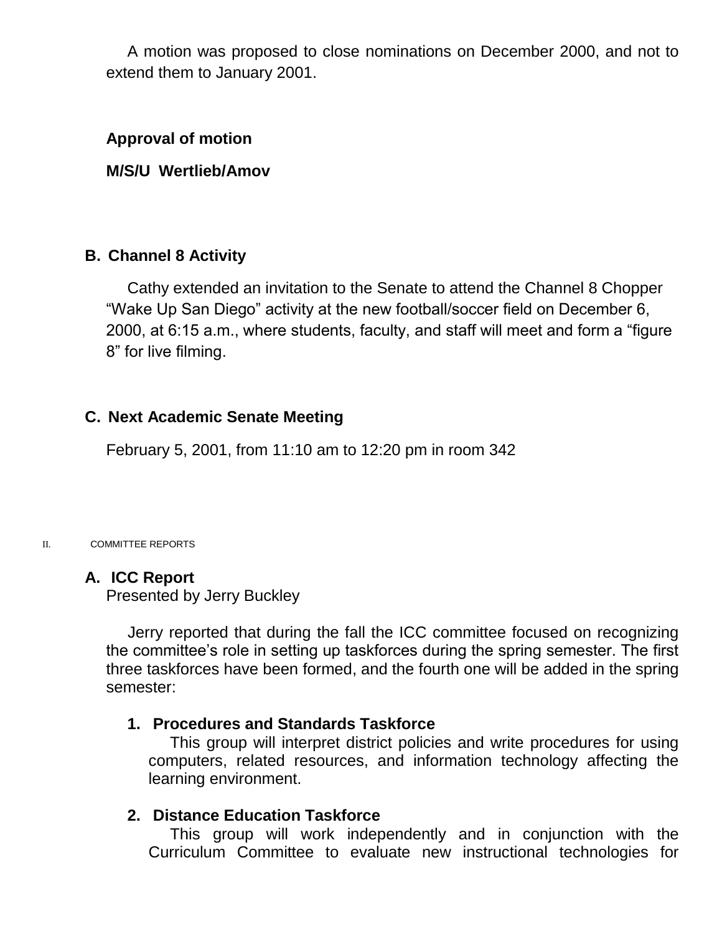A motion was proposed to close nominations on December 2000, and not to extend them to January 2001.

#### **Approval of motion**

#### **M/S/U Wertlieb/Amov**

#### **B. Channel 8 Activity**

 Cathy extended an invitation to the Senate to attend the Channel 8 Chopper "Wake Up San Diego" activity at the new football/soccer field on December 6, 2000, at 6:15 a.m., where students, faculty, and staff will meet and form a "figure 8" for live filming.

#### **C. Next Academic Senate Meeting**

February 5, 2001, from 11:10 am to 12:20 pm in room 342

#### II. COMMITTEE REPORTS

#### **A. ICC Report**

Presented by Jerry Buckley

 Jerry reported that during the fall the ICC committee focused on recognizing the committee's role in setting up taskforces during the spring semester. The first three taskforces have been formed, and the fourth one will be added in the spring semester:

#### **1. Procedures and Standards Taskforce**

 This group will interpret district policies and write procedures for using computers, related resources, and information technology affecting the learning environment.

#### **2. Distance Education Taskforce**

 This group will work independently and in conjunction with the Curriculum Committee to evaluate new instructional technologies for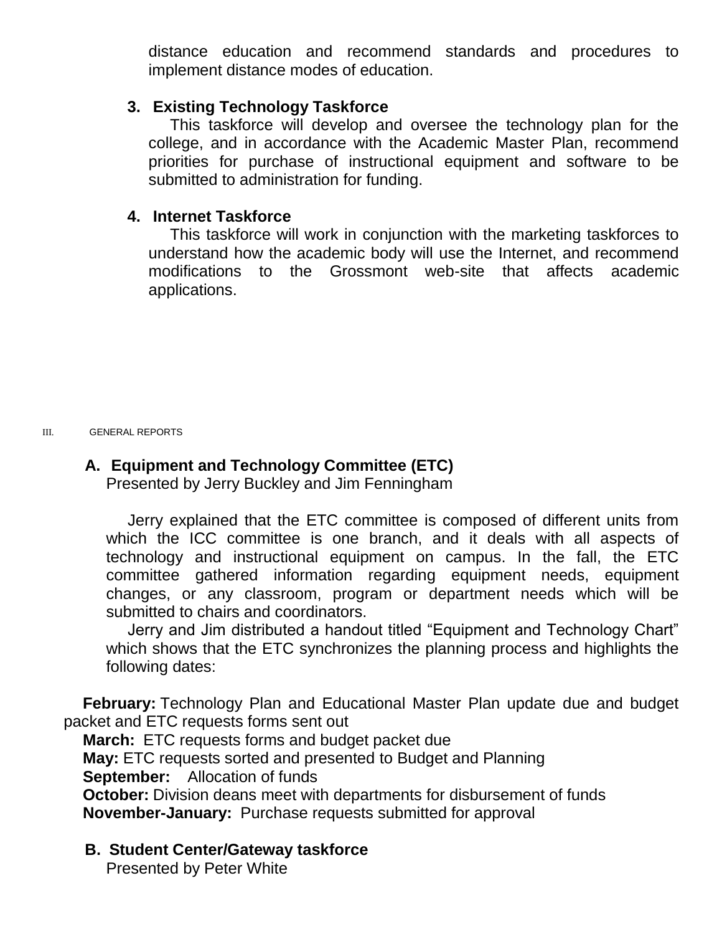distance education and recommend standards and procedures to implement distance modes of education.

#### **3. Existing Technology Taskforce**

 This taskforce will develop and oversee the technology plan for the college, and in accordance with the Academic Master Plan, recommend priorities for purchase of instructional equipment and software to be submitted to administration for funding.

#### **4. Internet Taskforce**

 This taskforce will work in conjunction with the marketing taskforces to understand how the academic body will use the Internet, and recommend modifications to the Grossmont web-site that affects academic applications.

III. GENERAL REPORTS

# **A. Equipment and Technology Committee (ETC)**

Presented by Jerry Buckley and Jim Fenningham

 Jerry explained that the ETC committee is composed of different units from which the ICC committee is one branch, and it deals with all aspects of technology and instructional equipment on campus. In the fall, the ETC committee gathered information regarding equipment needs, equipment changes, or any classroom, program or department needs which will be submitted to chairs and coordinators.

 Jerry and Jim distributed a handout titled "Equipment and Technology Chart" which shows that the ETC synchronizes the planning process and highlights the following dates:

**February:** Technology Plan and Educational Master Plan update due and budget packet and ETC requests forms sent out

**March:** ETC requests forms and budget packet due **May:** ETC requests sorted and presented to Budget and Planning **September:** Allocation of funds **October:** Division deans meet with departments for disbursement of funds

**November-January:** Purchase requests submitted for approval

# **B. Student Center/Gateway taskforce**

Presented by Peter White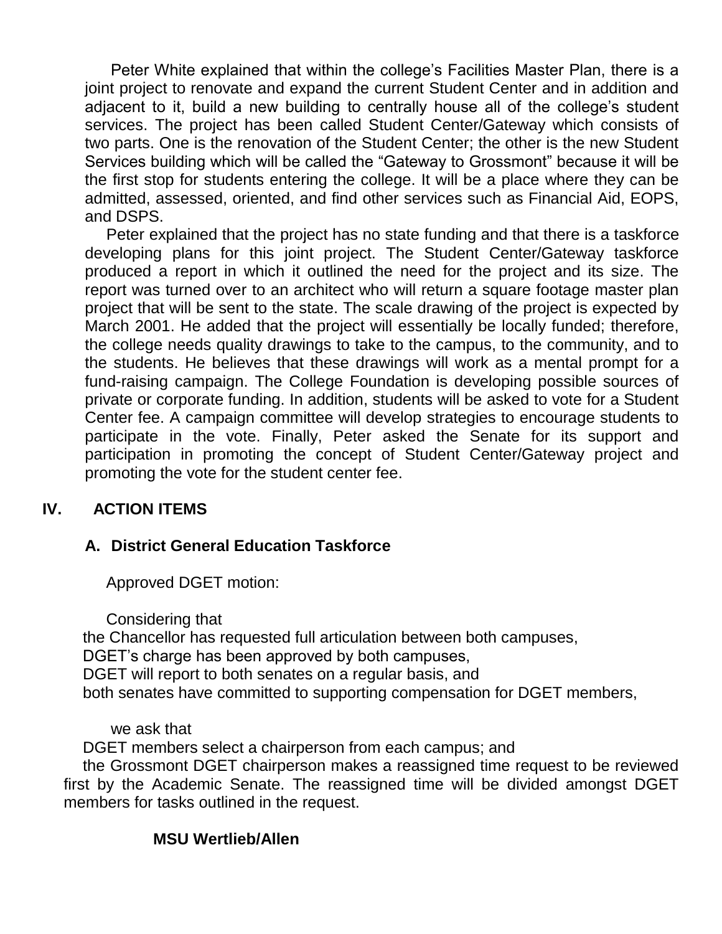Peter White explained that within the college's Facilities Master Plan, there is a joint project to renovate and expand the current Student Center and in addition and adjacent to it, build a new building to centrally house all of the college's student services. The project has been called Student Center/Gateway which consists of two parts. One is the renovation of the Student Center; the other is the new Student Services building which will be called the "Gateway to Grossmont" because it will be the first stop for students entering the college. It will be a place where they can be admitted, assessed, oriented, and find other services such as Financial Aid, EOPS, and DSPS.

 Peter explained that the project has no state funding and that there is a taskforce developing plans for this joint project. The Student Center/Gateway taskforce produced a report in which it outlined the need for the project and its size. The report was turned over to an architect who will return a square footage master plan project that will be sent to the state. The scale drawing of the project is expected by March 2001. He added that the project will essentially be locally funded; therefore, the college needs quality drawings to take to the campus, to the community, and to the students. He believes that these drawings will work as a mental prompt for a fund-raising campaign. The College Foundation is developing possible sources of private or corporate funding. In addition, students will be asked to vote for a Student Center fee. A campaign committee will develop strategies to encourage students to participate in the vote. Finally, Peter asked the Senate for its support and participation in promoting the concept of Student Center/Gateway project and promoting the vote for the student center fee.

#### **IV. ACTION ITEMS**

# **A. District General Education Taskforce**

Approved DGET motion:

Considering that

the Chancellor has requested full articulation between both campuses, DGET's charge has been approved by both campuses, DGET will report to both senates on a regular basis, and both senates have committed to supporting compensation for DGET members,

we ask that

DGET members select a chairperson from each campus; and

the Grossmont DGET chairperson makes a reassigned time request to be reviewed first by the Academic Senate. The reassigned time will be divided amongst DGET members for tasks outlined in the request.

#### **MSU Wertlieb/Allen**